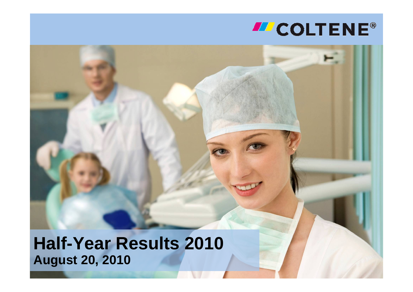# **MCOLTENE®**

**Half-Year Results 2010 August 20, 2010**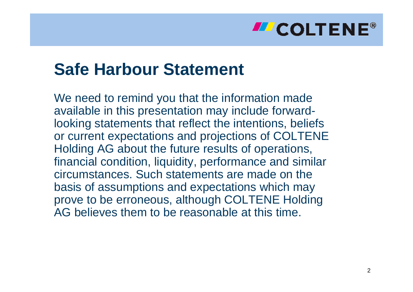### **LE COLTENE®**

## **Safe Harbour Statement**

We need to remind you that the information made available in this presentation may include forwardlooking statements that reflect the intentions, beliefs or current expectations and projections of COLTENE Holding AG about the future results of operations, financial condition, liquidity, performance and similar circumstances. Such statements are made on the basis of assumptions and expectations which may prove to be erroneous, although COLTENE Holding AG believes them to be reasonable at this time.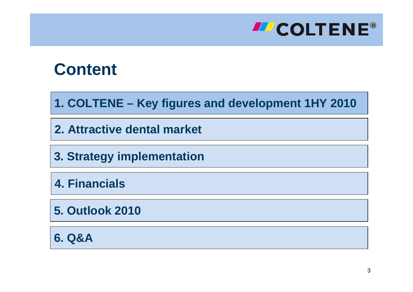

**1. COLTENE – Key figures and development 1HY 2010**

**2. Attractive dental market**

**3. Strategy implementation**

**4. Financials**

**5. Outlook 2010**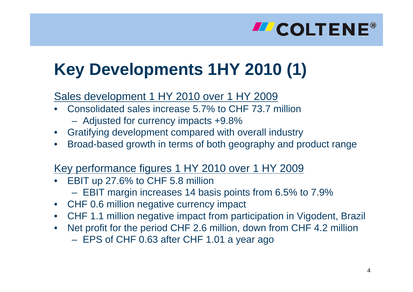# **Key Developments 1HY 2010 (1)**

#### Sales development 1 HY 2010 over 1 HY 2009

- •Consolidated sales increase 5.7% to CHF 73.7 million
	- Adjusted for currency impacts +9.8%
- •Gratifying development compared with overall industry
- •Broad-based growth in terms of both geography and product range

#### Key performance figures 1 HY 2010 over 1 HY 2009

- •EBIT up 27.6% to CHF 5.8 million
	- EBIT margin increases 14 basis points from 6.5% to 7.9%
- C H F 0.6 million negative currency impact
- •C H F 1.1 million negative impact from participation in Vigodent, Brazil
- •Net profit for the period CHF 2.6 million, down from CHF 4.2 million – EPS of CHF 0.63 after CHF 1.01 a year ago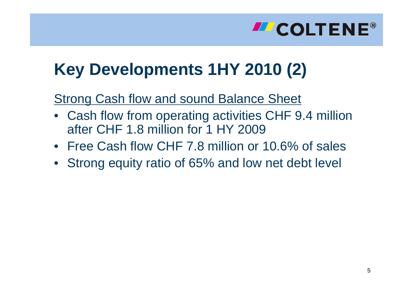## **LEART COLTENE®**

# **Key Developments 1HY 2010 (2)**

#### Strong Cash flow and sound Balance Sheet

- Cash flow from operating activities CHF 9.4 million after CHF 1.8 million for 1 HY 2009
- Free Cash flow CHF 7.8 million or 10.6% of sales
- Strong equity ratio of 65% and low net debt level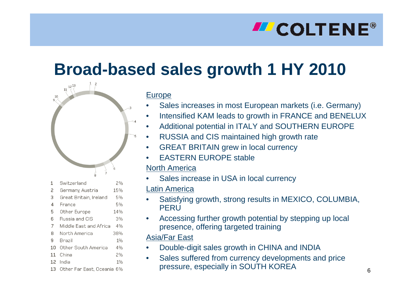# **Broad-based sales growth 1 HY 2010**



- •Sales increases in most European markets (i.e. G ermany)
- •Intensified KAM leads to growth in FRANCE and BENELUX
- •Additional potential in ITALY and SOUTHERN EUROPE
- •RUSSIA and CIS maintained high growth rate
- $\bullet$ GREAT BRITAIN grew in local currency
- •EASTERN EUROPE stable
- North America
- •Sales increase in USA in local currency
- Latin America
- •Satisfying growth, strong results in MEXICO, COLUMBIA, **PFRU**
- •Accessing further growth potential by stepping up local presence, offering targeted training

#### Asia/Far East

- •Double-digit sales growth in CHINA and INDIA
- •Sales suffered from currency developments and price pressure, especially in SOUTH KOREA

| 1  | Switzerland            | 2%  |
|----|------------------------|-----|
| 2  | Germany, Austria       | 15% |
| 3  | Great Britain, Ireland | 5%  |
| 4  | France                 | 5%  |
| 5  | Other Europe           | 14% |
| 6  | Russia and CIS         | 3%  |
| 7  | Middle East and Africa | 4%  |
| 8  | North America          | 38% |
| 9  | Brazil                 | 1%  |
| 10 | Other South America    | 4%  |
| 11 | China                  | 2%  |
|    | 12 India               | 1%  |

 $12^{13}$  $11$ 

10

13 Other Far East, Oceania 6%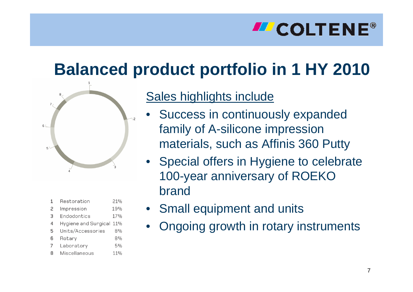# **LE COLTENE®**

# **Balanced product portfolio in 1 HY 2010**



| 1 | Restoration              | 21% |
|---|--------------------------|-----|
| 2 | Impression               | 19% |
| З | Endodontics              | 17% |
| 4 | Hygiene and Surgical 11% |     |
| 5 | Units/Accessories        | 8%  |
| 6 | Rotary                   | 8%  |
| 7 | Laboratory               | 5%  |
| 8 | Miscellaneous            | 11% |

#### Sales highlights include

- •Success in continuously expanded family of A-silicone impression materials, such as Affinis 360 Putty
- Special offers in Hygiene to celebrate 100-year anniversary of ROEKO brand
- Small equipment and units
- •Ongoing growth in rotary instruments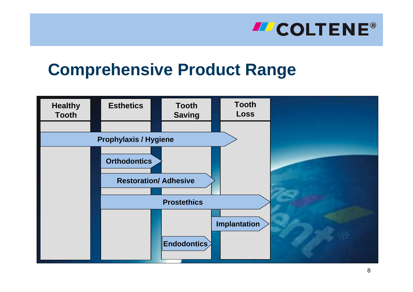## **Comprehensive Product Range**

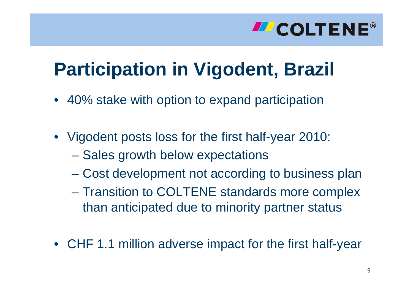# **Participation in Vigodent, Brazil**

- 40% stake with option to expand participation
- Vigodent posts loss for the first half-year 2010:
	- **Hart Communication** – Sales growth below expectations
	- Cost development not according to business plan
	- Transition to COLTENE standards more complex than anticipated due to minority partner status
- CHF 1.1 million adverse impact for the first half-year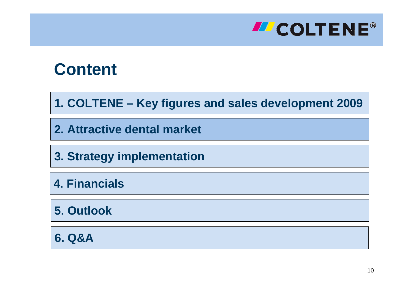

**1. COLTENE – Key figures and sales development 2009**

**2. Attractive dental market**

**3. Strategy implementation**

**4. Financials**

**5. Outlook**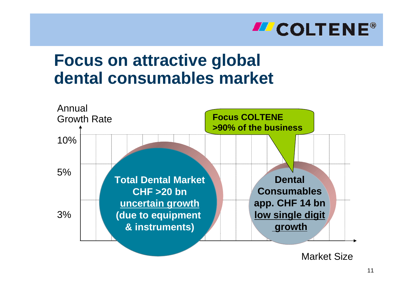

### **Focus on attractive global dental consumables market**



Market Size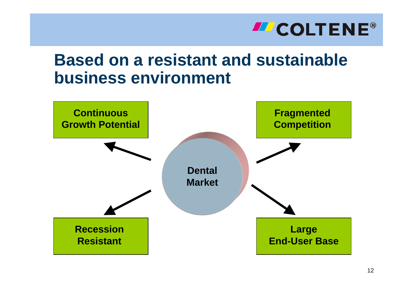### **Based on a resistant and sustainable business environment**

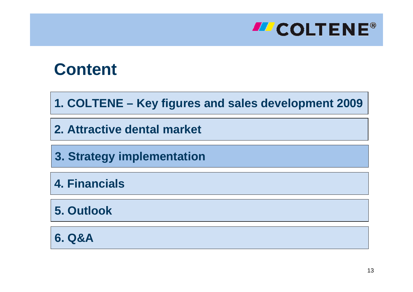

**1. COLTENE – Key figures and sales development 2009**

**2. Attractive dental market**

**3. Strategy implementation**

**4. Financials**

**5. Outlook**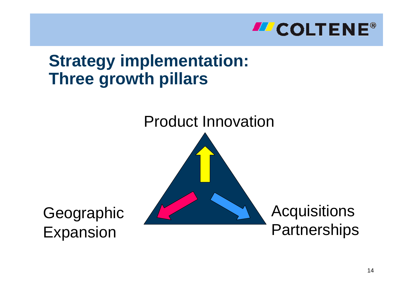

## **Strategy implementation: Three growth pillars**

Product Innovation

Geographic Expansion



#### **Acquisitions Partnerships**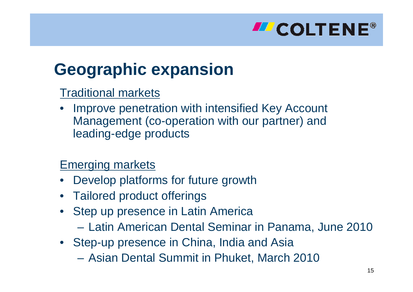

## **Geographic expansion**

#### Traditional markets

• Improve penetration with intensified Key Account Management (co-operation with our partner) and leading-edge products

#### Emerging markets

- •Develop platforms for future growth
- Tailored product offerings
- Step up presence in Latin America
	- Latin American Dental Seminar in Panama, June 2010
- Step-up presence in China, India and Asia
	- Asian Dental Summit in Phuket, March 2010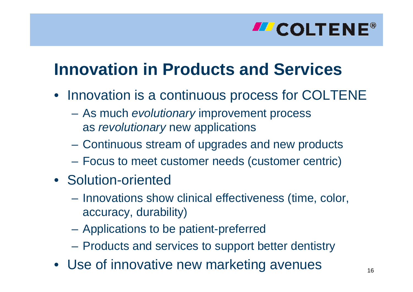# **Innovation in Products and Services**

- Innovation is a continuous process for COLTENE
	- As much *evolutionary* improvement process as *revolutionary* new applications
	- Continuous stream of upgrades and new products
	- Focus to meet customer needs (customer centric)
- Solution-oriented
	- Innovations show clinical effectiveness (time, color, accuracy, durability)
	- Applications to be patient-preferred
	- Products and services to support better dentistry
- Use of innovative new marketing avenues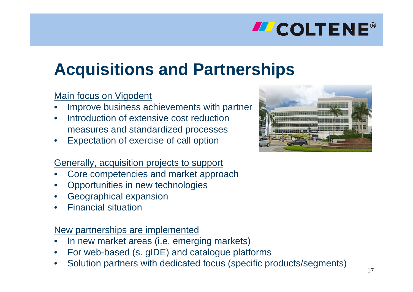# **Acquisitions and Partnerships**

#### Main focus on Vigodent

- •Improve business achievements with partner
- •• Introduction of extensive cost reduction measures and standardized processes
- •Expectation of exercise of call option

#### <u>Generally, acquisition projects to support</u>

- •Core competencies and market approach
- •Opportunities in new technologies
- •Geographical expansion
- •Financial situation

#### New partnerships are implemented

- •In new market areas (i.e. emerging markets)
- •For web-based (s. gIDE) and catalogue platforms
- •Solution partners with dedicated focus (specific products/segments)

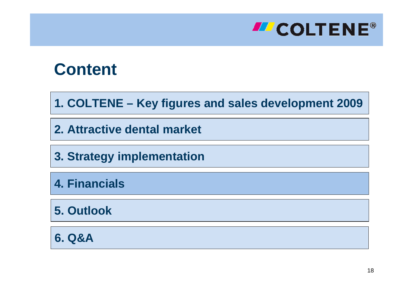

**1. COLTENE – Key figures and sales development 2009**

**2. Attractive dental market**

**3. Strategy implementation**

**4. Financials**

**5. Outlook**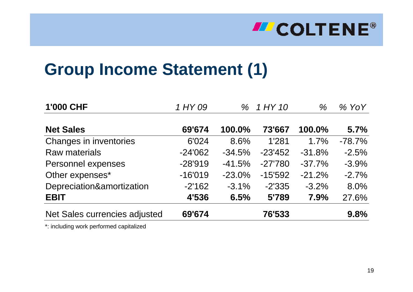# **Group Income Statement (1)**

| <b>1'000 CHF</b>              | 1 HY 09   | $\%$     | 1 HY 10   | $\%$     | $%$ YoY  |
|-------------------------------|-----------|----------|-----------|----------|----------|
| <b>Net Sales</b>              | 69'674    | 100.0%   | 73'667    | 100.0%   | 5.7%     |
| Changes in inventories        | 6'024     | 8.6%     | 1'281     | 1.7%     | $-78.7%$ |
| <b>Raw materials</b>          | $-24'062$ | $-34.5%$ | $-23'452$ | $-31.8%$ | $-2.5%$  |
| Personnel expenses            | $-28'919$ | $-41.5%$ | $-27'780$ | $-37.7%$ | $-3.9%$  |
| Other expenses*               | $-16'019$ | $-23.0%$ | $-15'592$ | $-21.2%$ | $-2.7%$  |
| Depreciation&amortization     | $-2'162$  | $-3.1%$  | $-2'335$  | $-3.2%$  | 8.0%     |
| <b>EBIT</b>                   | 4'536     | 6.5%     | 5'789     | 7.9%     | 27.6%    |
| Net Sales currencies adjusted | 69'674    |          | 76'533    |          | 9.8%     |

\*: i ncluding w ork performed capitalized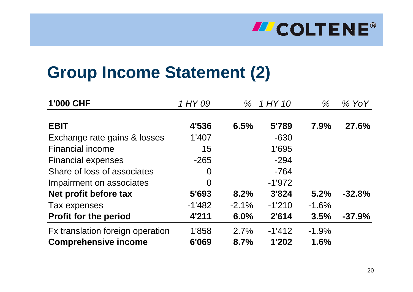# **Group Income Statement (2)**

| <b>1'000 CHF</b>                 | 1 HY 09  |         | % 1 HY 10 | $\%$     | $%$ YoY      |
|----------------------------------|----------|---------|-----------|----------|--------------|
| <b>EBIT</b>                      | 4'536    | 6.5%    | 5'789     | 7.9%     | <b>27.6%</b> |
| Exchange rate gains & losses     | 1'407    |         | $-630$    |          |              |
| <b>Financial income</b>          | 15       |         | 1'695     |          |              |
| <b>Financial expenses</b>        | $-265$   |         | $-294$    |          |              |
| Share of loss of associates      | $\Omega$ |         | $-764$    |          |              |
| Impairment on associates         | $\Omega$ |         | $-1'972$  |          |              |
| Net profit before tax            | 5'693    | 8.2%    | 3'824     | 5.2%     | $-32.8%$     |
| Tax expenses                     | $-1'482$ | $-2.1%$ | $-1'210$  | $-1.6%$  |              |
| <b>Profit for the period</b>     | 4'211    | 6.0%    | 2'614     | 3.5%     | $-37.9%$     |
| Fx translation foreign operation | 1'858    | 2.7%    | $-1'412$  | $-1.9\%$ |              |
| <b>Comprehensive income</b>      | 6'069    | 8.7%    | 1'202     | 1.6%     |              |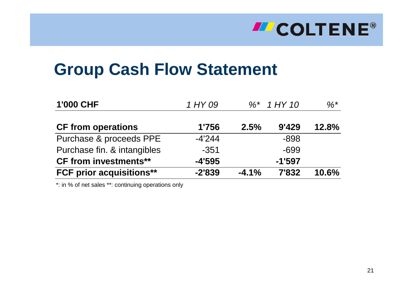# **Group Cash Flow Statement**

| <b>1'000 CHF</b>                | 1 HY 09  |         | $\%^*$ 1 HY 10 | $\%^{*}$ |
|---------------------------------|----------|---------|----------------|----------|
| <b>CF from operations</b>       | 1'756    | 2.5%    | 9'429          | 12.8%    |
| Purchase & proceeds PPE         | $-4'244$ |         | $-898$         |          |
| Purchase fin. & intangibles     | $-351$   |         | $-699$         |          |
| <b>CF from investments**</b>    | $-4'595$ |         | $-1'597$       |          |
| <b>FCF prior acquisitions**</b> | $-2'839$ | $-4.1%$ | 7'832          | 10.6%    |

\*: in % of net sales \*\*: continuing operations only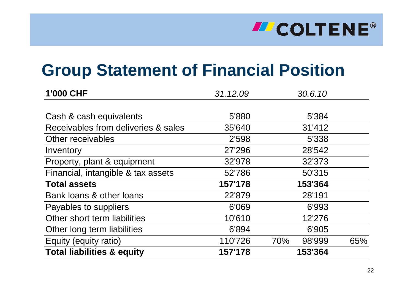# **Group Statement of Financial Position**

| 1'000 CHF                             | 31.12.09 | 30.6.10       |     |
|---------------------------------------|----------|---------------|-----|
|                                       |          |               |     |
| Cash & cash equivalents               | 5'880    | 5'384         |     |
| Receivables from deliveries & sales   | 35'640   | 31'412        |     |
| Other receivables                     | 2'598    | 5'338         |     |
| Inventory                             | 27'296   | 28'542        |     |
| Property, plant & equipment           | 32'978   | 32'373        |     |
| Financial, intangible & tax assets    | 52'786   | 50'315        |     |
| <b>Total assets</b>                   | 157'178  | 153'364       |     |
| Bank loans & other loans              | 22'879   | 28'191        |     |
| Payables to suppliers                 | 6'069    | 6'993         |     |
| Other short term liabilities          | 10'610   | 12'276        |     |
| Other long term liabilities           | 6'894    | 6'905         |     |
| Equity (equity ratio)                 | 110'726  | 70%<br>98'999 | 65% |
| <b>Total liabilities &amp; equity</b> | 157'178  | 153'364       |     |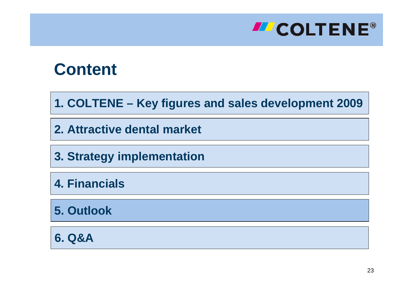

**1. COLTENE – Key figures and sales development 2009**

**2. Attractive dental market**

**3. Strategy implementation**

**4. Financials**

**5. Outlook**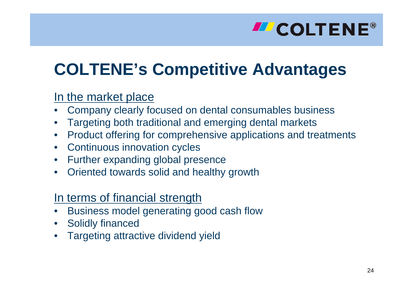# **COLTENE's Competitive Advantages**

#### In the market place

- Company clearly focused on dental consumables business
- •Targeting both traditional and emerging dental markets
- •Product offering for comprehensive applications and treatments
- •Continuous innovation cycles
- •Further expanding global presence
- Oriented towards solid and healthy growth

#### In terms of financial strength

- •Business model generating good cash flow
- •Solidly financed
- •Targeting attractive dividend yield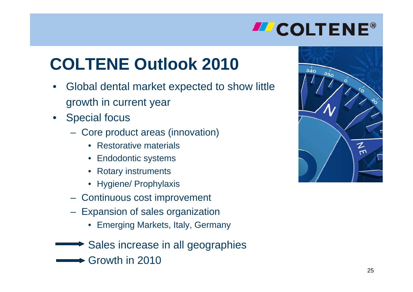# **COLTENE Outlook 2010**

- •Global dental market expected to show little growth in current year
- Special focus
	- Core product areas (innovation)
		- •Restorative materials
		- Endodontic systems
		- Rotary instruments
		- Hygiene/ Prophylaxis
	- Continuous cost improvement
	- Expansion of sales organization
		- Emerging Markets, Italy, Germany
	- Sales increase in all geographies
		- Growth in 2010

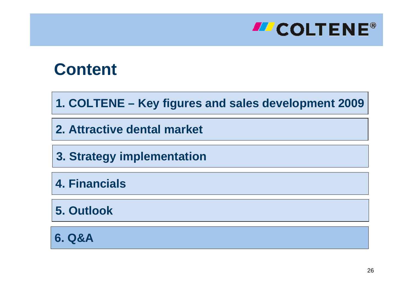

**1. COLTENE – Key figures and sales development 2009**

**2. Attractive dental market**

**3. Strategy implementation**

**4. Financials**

**5. Outlook**